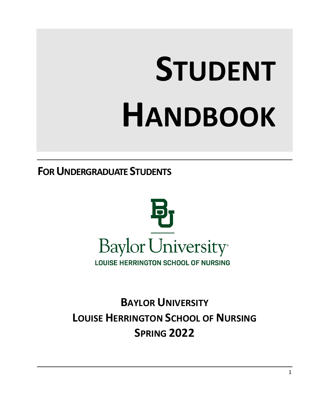# **STUDENT HANDBOOK**

**FOR UNDERGRADUATE STUDENTS**



**BAYLOR UNIVERSITY LOUISE HERRINGTON SCHOOL OF NURSING SPRING 2022**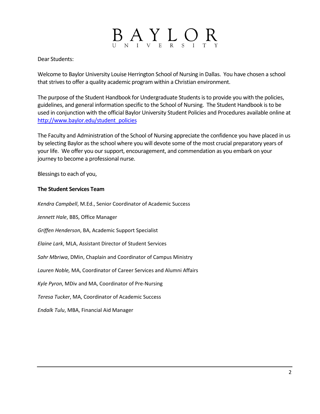# $B_{\text{N}}A_{\text{N}}Y_{\text{E}}$   $\text{L}$   $\text{O}$

Dear Students:

Welcome to Baylor University Louise Herrington School of Nursing in Dallas. You have chosen a school that strives to offer a quality academic program within a Christian environment.

The purpose of the Student Handbook for Undergraduate Students is to provide you with the policies, guidelines, and general information specific to the School of Nursing. The Student Handbook is to be used in conjunction with the official Baylor University Student Policies and Procedures available online at [http://www.baylor.edu/student\\_policies](http://www.baylor.edu/student_policies)

The Faculty and Administration of the School of Nursing appreciate the confidence you have placed in us by selecting Baylor as the school where you will devote some of the most crucial preparatory years of your life. We offer you our support, encouragement, and commendation as you embark on your journey to become a professional nurse.

Blessings to each of you,

#### **The Student Services Team**

*Kendra Campbell*, M.Ed., Senior Coordinator of Academic Success

*Jennett Hale*, BBS, Office Manager

*Griffen Henderson*, BA, Academic Support Specialist

*Elaine Lark*, MLA, Assistant Director of Student Services

*Sahr Mbriwa*, DMin, Chaplain and Coordinator of Campus Ministry

*Lauren Noble,* MA, Coordinator of Career Services and Alumni Affairs

*Kyle Pyron*, MDiv and MA, Coordinator of Pre-Nursing

*Teresa Tucker*, MA, Coordinator of Academic Success

*Endalk Tulu*, MBA, Financial Aid Manager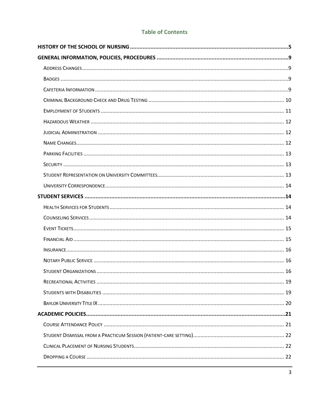#### **Table of Contents**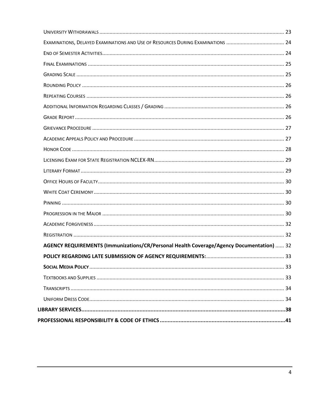<span id="page-3-0"></span>

| AGENCY REQUIREMENTS (Immunizations/CR/Personal Health Coverage/Agency Documentation)  32 |  |
|------------------------------------------------------------------------------------------|--|
|                                                                                          |  |
|                                                                                          |  |
|                                                                                          |  |
|                                                                                          |  |
|                                                                                          |  |
|                                                                                          |  |
|                                                                                          |  |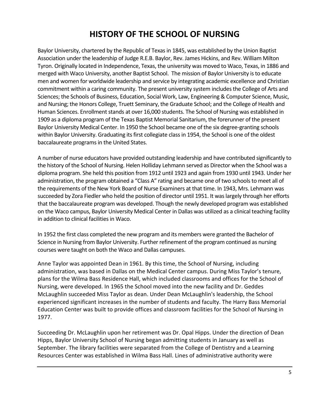### **HISTORY OF THE SCHOOL OF NURSING**

Baylor University, chartered by the Republic of Texas in 1845, was established by the Union Baptist Association under the leadership of Judge R.E.B. Baylor, Rev. James Hickins, and Rev. William Milton Tyron. Originally located in Independence, Texas, the university was moved to Waco, Texas, in 1886 and merged with Waco University, another Baptist School. The mission of Baylor University is to educate men and women for worldwide leadership and service by integrating academic excellence and Christian commitment within a caring community. The present university system includes the College of Arts and Sciences; the Schools of Business, Education, Social Work, Law, Engineering & Computer Science, Music, and Nursing; the Honors College, Truett Seminary, the Graduate School; and the College of Health and Human Sciences. Enrollment stands at over 16,000 students. The School of Nursing was established in 1909 as a diploma program of the Texas Baptist Memorial Sanitarium, the forerunner of the present Baylor University Medical Center. In 1950 the School became one of the six degree-granting schools within Baylor University. Graduating its first collegiate class in 1954, the School is one of the oldest baccalaureate programs in the United States.

A number of nurse educators have provided outstanding leadership and have contributed significantly to the history of the School of Nursing. Helen Holliday Lehmann served as Director when the School was a diploma program. She held this position from 1912 until 1923 and again from 1930 until 1943. Under her administration, the program obtained a "Class A" rating and became one of two schools to meet all of the requirements of the New York Board of Nurse Examiners at that time. In 1943, Mrs. Lehmann was succeeded by Zora Fiedler who held the position of director until 1951. It was largely through her efforts that the baccalaureate program was developed. Though the newly developed program was established on the Waco campus, Baylor University Medical Center in Dallas was utilized as a clinical teaching facility in addition to clinical facilities in Waco.

In 1952 the first class completed the new program and its members were granted the Bachelor of Science in Nursing from Baylor University. Further refinement of the program continued as nursing courses were taught on both the Waco and Dallas campuses.

Anne Taylor was appointed Dean in 1961. By this time, the School of Nursing, including administration, was based in Dallas on the Medical Center campus. During Miss Taylor's tenure, plans for the Wilma Bass Residence Hall, which included classrooms and offices for the School of Nursing, were developed. In 1965 the School moved into the new facility and Dr. Geddes McLaughlin succeeded Miss Taylor as dean. Under Dean McLaughlin's leadership, the School experienced significant increases in the number of students and faculty. The Harry Bass Memorial Education Center was built to provide offices and classroom facilities for the School of Nursing in 1977.

Succeeding Dr. McLaughlin upon her retirement was Dr. Opal Hipps. Under the direction of Dean Hipps, Baylor University School of Nursing began admitting students in January as well as September. The library facilities were separated from the College of Dentistry and a Learning Resources Center was established in Wilma Bass Hall. Lines of administrative authority were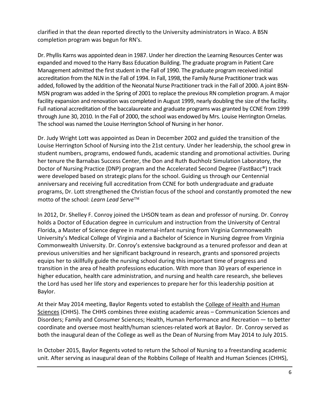clarified in that the dean reported directly to the University administrators in Waco. A BSN completion program was begun for RN's.

Dr. Phyllis Karns was appointed dean in 1987. Under her direction the Learning Resources Center was expanded and moved to the Harry Bass Education Building. The graduate program in Patient Care Management admitted the first student in the Fall of 1990. The graduate program received initial accreditation from the NLN in the Fall of 1994. In Fall, 1998, the Family Nurse Practitioner track was added, followed by the addition of the Neonatal Nurse Practitioner track in the Fall of 2000. A joint BSN-MSN program was added in the Spring of 2001 to replace the previous RN completion program. A major facility expansion and renovation was completed in August 1999, nearly doubling the size of the facility. Full national accreditation of the baccalaureate and graduate programs was granted by CCNE from 1999 through June 30, 2010. In the Fall of 2000, the school was endowed by Mrs. Louise Herrington Ornelas. The school was named the Louise Herrington School of Nursing in her honor.

Dr. Judy Wright Lott was appointed as Dean in December 2002 and guided the transition of the Louise Herrington School of Nursing into the 21st century. Under her leadership, the school grew in student numbers, programs, endowed funds, academic standing and promotional activities. During her tenure the Barnabas Success Center, the Don and Ruth Buchholz Simulation Laboratory, the Doctor of Nursing Practice (DNP) program and the Accelerated Second Degree (FastBacc®) track were developed based on strategic plans for the school. Guiding us through our Centennial anniversary and receiving full accreditation from CCNE for both undergraduate and graduate programs, Dr. Lott strengthened the Christian focus of the school and constantly promoted the new motto of the school: *Learn Lead Serve*

In 2012, Dr. Shelley F. Conroy joined the LHSON team as dean and professor of nursing. Dr. Conroy holds a Doctor of Education degree in curriculum and instruction from the University of Central Florida, a Master of Science degree in maternal-infant nursing from Virginia Commonwealth University's Medical College of Virginia and a Bachelor of Science in Nursing degree from Virginia Commonwealth University. Dr. Conroy's extensive background as a tenured professor and dean at previous universities and her significant background in research, grants and sponsored projects equips her to skillfully guide the nursing school during this important time of progress and transition in the area of health professions education. With more than 30 years of experience in higher education, health care administration, and nursing and health care research, she believes the Lord has used her life story and experiences to prepare her for this leadership position at Baylor.

At their May 2014 meeting, Baylor Regents voted to establish the [College of Health and Human](http://www.wacotrib.com/news/higher_education/baylor-to-launch-new-college-of-health-and-human-sciences/article_c8350ac3-c27b-5743-afab-be14207ca63a.html)  [Sciences](http://www.wacotrib.com/news/higher_education/baylor-to-launch-new-college-of-health-and-human-sciences/article_c8350ac3-c27b-5743-afab-be14207ca63a.html) (CHHS). The CHHS combines three existing academic areas - Communication Sciences and Disorders; Family and Consumer Sciences; Health, Human Performance and Recreation — to better coordinate and oversee most health/human sciences-related work at Baylor. Dr. Conroy served as both the inaugural dean of the College as well as the Dean of Nursing from May 2014 to July 2015.

In October 2015, Baylor Regents voted to return the School of Nursing to a freestanding academic unit. After serving as inaugural dean of the Robbins College of Health and Human Sciences (CHHS),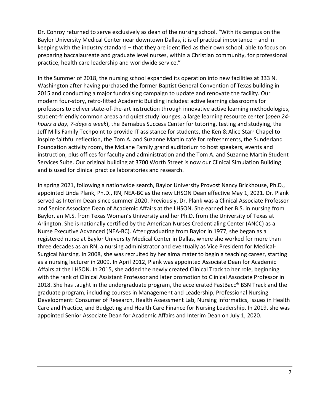Dr. Conroy returned to serve exclusively as dean of the nursing school. "With its campus on the Baylor University Medical Center near downtown Dallas, it is of practical importance – and in keeping with the industry standard – that they are identified as their own school, able to focus on preparing baccalaureate and graduate level nurses, within a Christian community, for professional practice, health care leadership and worldwide service."

In the Summer of 2018, the nursing school expanded its operation into new facilities at 333 N. Washington after having purchased the former Baptist General Convention of Texas building in 2015 and conducting a major fundraising campaign to update and renovate the facility. Our modern four-story, retro-fitted Academic Building includes: active learning classrooms for professors to deliver state-of-the-art instruction through innovative active learning methodologies, student-friendly common areas and quiet study lounges, a large learning resource center (*open 24 hours a day, 7-days a week*), the Barnabus Success Center for tutoring, testing and studying, the Jeff Mills Family Techpoint to provide IT assistance for students, the Ken & Alice Starr Chapel to inspire faithful reflection, the Tom A. and Suzanne Martin café for refreshments, the Sunderland Foundation activity room, the McLane Family grand auditorium to host speakers, events and instruction, plus offices for faculty and administration and the Tom A. and Suzanne Martin Student Services Suite. Our original building at 3700 Worth Street is now our Clinical Simulation Building and is used for clinical practice laboratories and research.

In spring 2021, following a nationwide search, Baylor University Provost Nancy Brickhouse, Ph.D., appointed Linda Plank, Ph.D., RN, NEA-BC as the new LHSON Dean effective May 1, 2021. Dr. Plank served as Interim Dean since summer 2020. Previously, Dr. Plank was a Clinical Associate Professor and Senior Associate Dean of Academic Affairs at the LHSON. She earned her B.S. in nursing from Baylor, an M.S. from Texas Woman's University and her Ph.D. from the University of Texas at Arlington. She is nationally certified by the American Nurses Credentialing Center (ANCC) as a Nurse Executive Advanced (NEA-BC). After graduating from Baylor in 1977, she began as a registered nurse at Baylor University Medical Center in Dallas, where she worked for more than three decades as an RN, a nursing administrator and eventually as Vice President for Medical-Surgical Nursing. In 2008, she was recruited by her alma mater to begin a teaching career, starting as a nursing lecturer in 2009. In April 2012, Plank was appointed Associate Dean for Academic Affairs at the LHSON. In 2015, she added the newly created Clinical Track to her role, beginning with the rank of Clinical Assistant Professor and later promotion to Clinical Associate Professor in 2018. She has taught in the undergraduate program, the accelerated FastBacc<sup>®</sup> BSN Track and the graduate program, including courses in Management and Leadership, Professional Nursing Development: Consumer of Research, Health Assessment Lab, Nursing Informatics, Issues in Health Care and Practice, and Budgeting and Health Care Finance for Nursing Leadership. In 2019, she was appointed Senior Associate Dean for Academic Affairs and Interim Dean on July 1, 2020.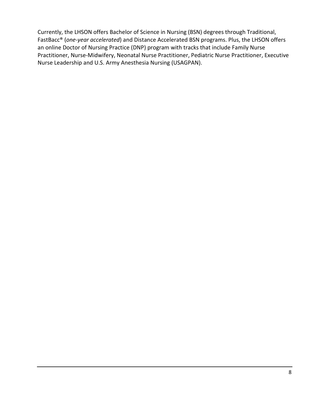Currently, the LHSON offers Bachelor of Science in Nursing (BSN) degrees through Traditional, FastBacc® (*one-year accelerated*) and Distance Accelerated BSN programs. Plus, the LHSON offers an online Doctor of Nursing Practice (DNP) program with tracks that include Family Nurse Practitioner, Nurse-Midwifery, Neonatal Nurse Practitioner, Pediatric Nurse Practitioner, Executive Nurse Leadership and U.S. Army Anesthesia Nursing (USAGPAN).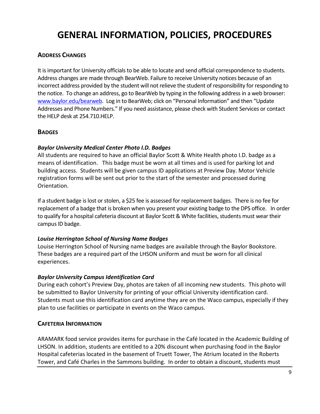# <span id="page-8-0"></span>**GENERAL INFORMATION, POLICIES, PROCEDURES**

#### <span id="page-8-1"></span>**ADDRESS CHANGES**

It is important for University officials to be able to locate and send official correspondence to students. Address changes are made through BearWeb. Failure to receive University notices because of an incorrect address provided by the student will not relieve the student of responsibility for responding to the notice. To change an address, go to BearWeb by typing in the following address in a web browser: [www.baylor.edu/bearweb.](http://www.baylor.edu/bearweb) Log in to BearWeb; click on "Personal Information" and then "Update Addresses and Phone Numbers." If you need assistance, please check with Student Services or contact the HELP desk at 254.710.HELP.

#### <span id="page-8-2"></span>**BADGES**

#### *Baylor University Medical Center Photo I.D. Badges*

All students are required to have an official Baylor Scott & White Health photo I.D. badge as a means of identification. This badge must be worn at all times and is used for parking lot and building access. Students will be given campus ID applications at Preview Day. Motor Vehicle registration forms will be sent out prior to the start of the semester and processed during Orientation.

If a student badge is lost or stolen, a \$25 fee is assessed for replacement badges. There is no fee for replacement of a badge that is broken when you present your existing badge to the DPS office. In order to qualify for a hospital cafeteria discount at Baylor Scott & White facilities, students must wear their campus ID badge.

#### *Louise Herrington School of Nursing Name Badges*

Louise Herrington School of Nursing name badges are available through the Baylor Bookstore. These badges are a required part of the LHSON uniform and must be worn for all clinical experiences.

#### *Baylor University Campus Identification Card*

During each cohort's Preview Day, photos are taken of all incoming new students. This photo will be submitted to Baylor University for printing of your official University identification card. Students must use this identification card anytime they are on the Waco campus, especially if they plan to use facilities or participate in events on the Waco campus.

#### <span id="page-8-3"></span>**CAFETERIA INFORMATION**

ARAMARK food service provides items for purchase in the Café located in the Academic Building of LHSON. In addition, students are entitled to a 20% discount when purchasing food in the Baylor Hospital cafeterias located in the basement of Truett Tower, The Atrium located in the Roberts Tower, and Café Charles in the Sammons building. In order to obtain a discount, students must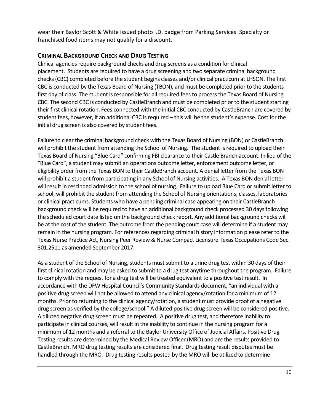wear their Baylor Scott & White issued photo I.D. badge from Parking Services. Specialty or franchised food items may not qualify for a discount.

#### <span id="page-9-0"></span>**CRIMINAL BACKGROUND CHECK AND DRUG TESTING**

Clinical agencies require background checks and drug screens as a condition for clinical placement. Students are required to have a drug screening and two separate criminal background checks (CBC) completed before the student begins classes and/or clinical practicum at LHSON. The first CBC is conducted by the Texas Board of Nursing (TBON), and must be completed prior to the students first day of class. The student is responsible for all required fees to process the Texas Board of Nursing CBC. The second CBC is conducted by CastleBranch and must be completed prior to the student starting their first clinical rotation. Fees connected with the initial CBC conducted by CastleBranch are covered by student fees, however, if an additional CBC is required – this will be the student's expense. Cost for the initial drug screen is also covered by student fees.

Failure to clear the criminal background check with the Texas Board of Nursing (BON) or CastleBranch will prohibit the student from attending the School of Nursing. The student is required to upload their Texas Board of Nursing "Blue Card" confirming FBI clearance to their Castle Branch account. In lieu of the "Blue Card", a student may submit an operations outcome letter, enforcement outcome letter, or eligibility order from the Texas BON to their CastleBranch account. A denial letter from the Texas BON will prohibit a student from participating in any School of Nursing activities. A Texas BON denial letter will result in rescinded admission to the school of nursing. Failure to upload Blue Card or submit letter to school, will prohibit the student from attending the School of Nursing orientations, classes, laboratories or clinical practicums. Students who have a pending criminal case appearing on their CastleBranch background check will be required to have an additional background check processed 30 days following the scheduled court date listed on the background check report. Any additional background checks will be at the cost of the student. The outcome from the pending court case will determine if a student may remain in the nursing program. For references regarding criminal history information please refer to the Texas Nurse Practice Act, Nursing Peer Review & Nurse Compact Licensure Texas Occupations Code Sec. 301.2511 as amended September 2017.

As a student of the School of Nursing, students must submit to a urine drug test within 30 days of their first clinical rotation and may be asked to submit to a drug test anytime throughout the program. Failure to comply with the request for a drug test will be treated equivalent to a positive test result. In accordance with the DFW Hospital Council's Community Standards document, "an individual with a positive drug screen will not be allowed to attend any clinical agency/rotation for a minimum of 12 months. Prior to returning to the clinical agency/rotation, a student must provide proof of a negative drug screen as verified by the college/school." A diluted positive drug screen will be considered positive. A diluted negative drug screen must be repeated. A positive drug test, and therefore inability to participate in clinical courses, will result in the inability to continue in the nursing program for a minimum of 12 months and a referral to the Baylor University Office of Judicial Affairs. Positive Drug Testing results are determined by the Medical Review Officer (MRO) and are the results provided to CastleBranch. MRO drug testing results are considered final. Drug testing result disputes must be handled through the MRO. Drug testing results posted by the MRO will be utilized to determine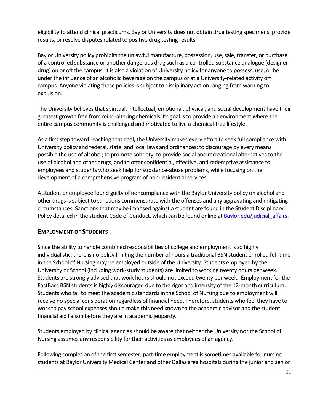eligibility to attend clinical practicums. Baylor University does not obtain drug testing specimens, provide results, or resolve disputes related to positive drug testing results.

Baylor University policy prohibits the unlawful manufacture, possession, use, sale, transfer, or purchase of a controlled substance or another dangerous drug such as a controlled substance analogue (designer drug) on or off the campus. It is also a violation of University policy for anyone to possess, use, or be under the influence of an alcoholic beverage on the campus or at a University-related activity off campus. Anyone violating these policies is subject to disciplinary action ranging from warning to expulsion.

The University believes that spiritual, intellectual, emotional, physical, and social development have their greatest growth free from mind-altering chemicals. Its goal is to provide an environment where the entire campus community is challenged and motivated to live a chemical-free lifestyle.

As a first step toward reaching that goal, the University makes every effort to seek full compliance with University policy and federal, state, and local laws and ordinances; to discourage by every means possible the use of alcohol; to promote sobriety; to provide social and recreational alternatives to the use of alcohol and other drugs; and to offer confidential, effective, and redemptive assistance to employees and students who seek help for substance-abuse problems, while focusing on the development of a comprehensive program of non-residential services.

A student or employee found guilty of noncompliance with the Baylor University policy on alcohol and other drugs is subject to sanctions commensurate with the offenses and any aggravating and mitigating circumstances. Sanctions that may be imposed against a student are found in the Student Disciplinary Policy detailed in the student Code of Conduct, which can be found online at Baylor.edu/judicial affairs.

#### <span id="page-10-0"></span>**EMPLOYMENT OF STUDENTS**

Since the ability to handle combined responsibilities of college and employment is so highly individualistic, there is no policy limiting the number of hours a traditional BSN student enrolled full-time in the School of Nursing may be employed outside of the University. Students employed by the University or School (including work-study students) are limited to working twenty hours per week. Students are strongly advised that work hours should not exceed twenty per week. Employment for the FastBacc BSN students is highly discouraged due to the rigor and intensity of the 12-month curriculum. Students who fail to meet the academic standards in the School of Nursing due to employment will receive no special consideration regardless of financial need. Therefore, students who feel they have to work to pay school expenses should make this need known to the academic advisor and the student financial aid liaison before they are in academic jeopardy.

Students employed by clinical agencies should be aware that neither the University nor the School of Nursing assumes any responsibility for their activities as employees of an agency.

Following completion of the first semester, part-time employment is sometimes available for nursing students at Baylor University Medical Center and other Dallas area hospitals during the junior and senior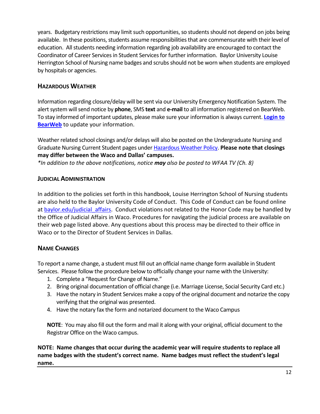years. Budgetary restrictions may limit such opportunities, so students should not depend on jobs being available. In these positions, students assume responsibilities that are commensurate with their level of education. All students needing information regarding job availability are encouraged to contact the Coordinator of Career Services in Student Services for further information. Baylor University Louise Herrington School of Nursing name badges and scrubsshould not be worn when students are employed by hospitals or agencies.

#### <span id="page-11-0"></span>**HAZARDOUS WEATHER**

Information regarding closure/delay will be sent via our University Emergency Notification System. The alert system will send notice by **phone**, SMS **text** and **e-mail** to all information registered on BearWeb. To stay informed of important updates, please make sure your information is always current. **[Login to](https://bearweb.baylor.edu/PROD8/twbkwbis.P_GenMenu?name=homepage)  [BearWeb](https://bearweb.baylor.edu/PROD8/twbkwbis.P_GenMenu?name=homepage)** to update your information.

Weather related school closings and/or delays will also be posted on the Undergraduate Nursing and Graduate Nursing Current Student pages under [Hazardous Weather Policy.](https://www.baylor.edu/nursing/index.php?id=928879) **Please note that closings may differ between the Waco and Dallas' campuses.**

*\*In addition to the above notifications, notice may also be posted to WFAA TV (Ch. 8)*

#### <span id="page-11-1"></span>**JUDICIAL ADMINISTRATION**

In addition to the policies set forth in this handbook, Louise Herrington School of Nursing students are also held to the Baylor University Code of Conduct. This Code of Conduct can be found online at baylor.edu/judicial affairs. Conduct violations not related to the Honor Code may be handled by the Office of Judicial Affairs in Waco. Procedures for navigating the judicial process are available on their web page listed above. Any questions about this process may be directed to their office in Waco or to the Director of Student Services in Dallas.

#### <span id="page-11-2"></span>**NAME CHANGES**

To report a name change, a student must fill out an official name change form available in Student Services. Please follow the procedure below to officially change your name with the University:

- 1. Complete a "Request for Change of Name."
- 2. Bring original documentation of official change (i.e. Marriage License, Social Security Card etc.)
- 3. Have the notary in Student Services make a copy of the original document and notarize the copy verifying that the original was presented.
- 4. Have the notary fax the form and notarized document to the Waco Campus

**NOTE**: You may also fill out the form and mail it along with your original, official document to the Registrar Office on the Waco campus.

**NOTE: Name changes that occur during the academic year will require students to replace all name badges with the student's correct name. Name badges must reflect the student's legal name.**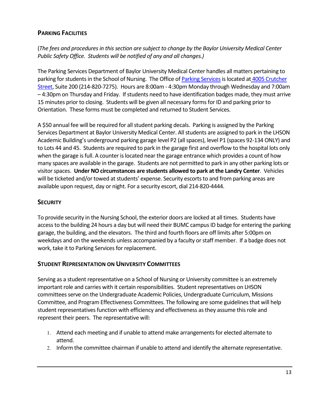#### <span id="page-12-0"></span>**PARKING FACILITIES**

(*The fees and procedures in this section are subject to change by the Baylor University Medical Center Public Safety Office. Students will be notified of any and all changes.)*

The Parking Services Department of Baylor University Medical Center handles all matters pertaining to parking for students in the School of Nursing. The Office o[f Parking Services](https://www.bswhealth.com/SiteCollectionDocuments/locations/dallas/parking-locations-bumc.pdf) is located at 4005 Crutcher [Street,](http://www.baylor.edu/content/services/document.php/92468.pdf) Suite 200 (214-820-7275). Hours are 8:00am - 4:30pm Monday through Wednesday and 7:00am – 4:30pm on Thursday and Friday. If students need to have identification badges made, they must arrive 15 minutes prior to closing. Students will be given all necessary forms for ID and parking prior to Orientation. These forms must be completed and returned to Student Services.

A \$50 annual fee will be required for all student parking decals. Parking is assigned by the Parking Services Department at Baylor University Medical Center. All students are assigned to park in the LHSON Academic Building's underground parking garage level P2 (all spaces), level P1 (spaces 92-134 ONLY) and to Lots 44 and 45. Students are required to park in the garage first and overflow to the hospital lots only when the garage is full. A counter is located near the garage entrance which provides a count of how many spaces are available in the garage. Students are not permitted to park in any other parking lots or visitor spaces. **Under NO circumstances are students allowed to park at the Landry Center**. Vehicles will be ticketed and/or towed at students' expense. Security escorts to and from parking areas are available upon request, day or night. For a security escort, dial 214-820-4444.

#### <span id="page-12-1"></span>**SECURITY**

To provide security in the Nursing School, the exterior doors are locked at all times. Students have access to the building 24 hours a day but will need their BUMC campus ID badge for entering the parking garage, the building, and the elevators. The third and fourth floors are off limits after 5:00pm on weekdays and on the weekends unless accompanied by a faculty or staff member. If a badge does not work, take it to Parking Services for replacement.

#### <span id="page-12-2"></span>**STUDENT REPRESENTATION ON UNIVERSITY COMMITTEES**

Serving as a student representative on a School of Nursing or University committee is an extremely important role and carries with it certain responsibilities. Student representatives on LHSON committees serve on the Undergraduate Academic Policies, Undergraduate Curriculum, Missions Committee, and Program Effectiveness Committees. The following are some guidelines that will help student representatives function with efficiency and effectiveness as they assume this role and represent their peers. The representative will:

- 1. Attend each meeting and if unable to attend make arrangements for elected alternate to attend.
- 2. Inform the committee chairman if unable to attend and identify the alternate representative.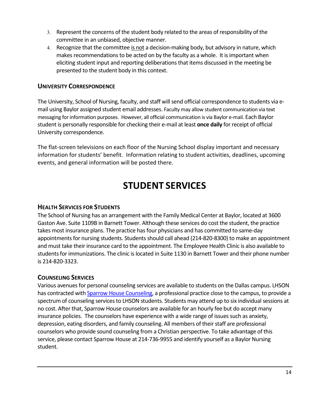- 3. Represent the concerns of the student body related to the areas of responsibility of the committee in an unbiased, objective manner.
- 4. Recognize that the committee is not a decision-making body, but advisory in nature, which makes recommendations to be acted on by the faculty as a whole. It is important when eliciting student input and reporting deliberations that items discussed in the meeting be presented to the student body in this context.

#### <span id="page-13-0"></span>**UNIVERSITY CORRESPONDENCE**

The University, School of Nursing, faculty, and staff will send official correspondence to students via email using Baylor assigned student email addresses. Faculty may allow student communication via text messaging for information purposes. However, all official communication is via Baylor e-mail. Each Baylor student is personally responsible for checking their e-mail at least **once daily** for receipt of official University correspondence.

<span id="page-13-1"></span>The flat-screen televisions on each floor of the Nursing School display important and necessary information for students' benefit. Information relating to student activities, deadlines, upcoming events, and general information will be posted there.

# **STUDENT SERVICES**

#### <span id="page-13-2"></span>**HEALTH SERVICES FOR STUDENTS**

The School of Nursing has an arrangement with the Family Medical Center at Baylor, located at 3600 Gaston Ave. Suite 1109B in Barnett Tower. Although these services do cost the student, the practice takes most insurance plans. The practice has four physicians and has committed to same-day appointments for nursing students. Students should call ahead (214-820-8300) to make an appointment and must take their insurance card to the appointment. The Employee Health Clinic is also available to students for immunizations. The clinic is located in Suite 1130 in Barnett Tower and their phone number is 214-820-3323.

#### <span id="page-13-3"></span>**COUNSELING SERVICES**

Various avenues for personal counseling services are available to students on the Dallas campus. LHSON has contracted with **Sparrow House Counseling**, a professional practice close to the campus, to provide a spectrum of counseling services to LHSON students. Students may attend up to six individual sessions at no cost. After that, Sparrow House counselors are available for an hourly fee but do accept many insurance policies. The counselors have experience with a wide range of issues such as anxiety, depression, eating disorders, and family counseling. All members of their staff are professional counselors who provide sound counseling from a Christian perspective. To take advantage of this service, please contact Sparrow House at 214-736-9955 and identify yourself as a Baylor Nursing student.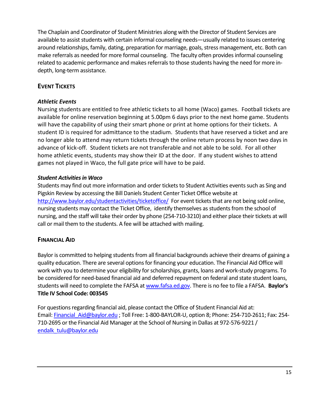The Chaplain and Coordinator of Student Ministries along with the Director of Student Services are available to assist students with certain informal counseling needs—usually related to issues centering around relationships, family, dating, preparation for marriage, goals, stress management, etc. Both can make referrals as needed for more formal counseling. The faculty often provides informal counseling related to academic performance and makes referrals to those students having the need for more indepth, long-term assistance.

#### <span id="page-14-0"></span>**EVENT TICKETS**

#### *Athletic Events*

Nursing students are entitled to free athletic tickets to all home (Waco) games. Football tickets are available for online reservation beginning at 5.00pm 6 days prior to the next home game. Students will have the capability of using their smart phone or print at home options for their tickets. A student ID is required for admittance to the stadium. Students that have reserved a ticket and are no longer able to attend may return tickets through the online return process by noon two days in advance of kick-off. Student tickets are not transferable and not able to be sold. For all other home athletic events, students may show their ID at the door. If any student wishes to attend games not played in Waco, the full gate price will have to be paid.

#### **Student Activities in Waco**

Students may find out more information and order tickets to Student Activities events such as Sing and Pigskin Review by accessing the Bill Daniels Student Center Ticket Office website at <http://www.baylor.edu/studentactivities/ticketoffice/>For event tickets that are not being sold online, nursing students may contact the Ticket Office, identify themselves as students from the school of nursing, and the staff will take their order by phone (254-710-3210) and either place their tickets at will call or mail them to the students. A fee will be attached with mailing.

#### <span id="page-14-1"></span>**FINANCIAL AID**

Baylor is committed to helping students from all financial backgrounds achieve their dreams of gaining a quality education. There are several options for financing your education. The Financial Aid Office will work with you to determine your eligibility for scholarships, grants, loans and work-study programs. To be considered for need-based financial aid and deferred repayment on federal and state student loans, students will need to complete the FAFSA a[t www.fafsa.ed.gov.](http://www.fafsa.ed.gov/) There is no fee to file a FAFSA. **Baylor's Title IV School Code: 003545**

For questions regarding financial aid, please contact the Office of Student Financial Aid at: Email: Financial Aid@baylor.edu ; Toll Free: 1-800-BAYLOR-U, option 8; Phone: 254-710-2611; Fax: 254-710-2695 or the Financial Aid Manager at the School of Nursing in Dallas at 972-576-9221 / [endalk\\_tulu@baylor.edu](mailto:endalk_tulu@baylor.edu)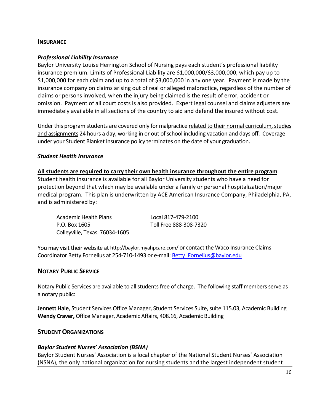#### <span id="page-15-0"></span>**INSURANCE**

#### *Professional Liability Insurance*

Baylor University Louise Herrington School of Nursing pays each student's professional liability insurance premium. Limits of Professional Liability are \$1,000,000/\$3,000,000, which pay up to \$1,000,000 for each claim and up to a total of \$3,000,000 in any one year. Payment is made by the insurance company on claims arising out of real or alleged malpractice, regardless of the number of claims or persons involved, when the injury being claimed is the result of error, accident or omission. Payment of all court costs is also provided. Expert legal counsel and claims adjusters are immediately available in all sections of the country to aid and defend the insured without cost.

Under this program students are covered only for malpractice related to their normal curriculum, studies and assignments 24 hours a day, working in or out of school including vacation and days off. Coverage under your Student Blanket Insurance policy terminates on the date of your graduation.

#### *Student Health Insurance*

#### **All students are required to carry their own health insurance throughout the entire program**.

Student health insurance is available for all Baylor University students who have a need for protection beyond that which may be available under a family or personal hospitalization/major medical program. This plan is underwritten by ACE American Insurance Company, Philadelphia, PA, and is administered by:

Academic Health Plans Local 817-479-2100 P.O. Box 1605 Toll Free 888-308-7320 Colleyville, Texas 76034-1605

You may visit their website at http://baylor.myahpcare.com/ or contact the Waco Insurance Claims Coordinator Betty Fornelius at 254-710-1493 or e-mail: Betty Fornelius@baylor.edu

#### <span id="page-15-1"></span>**NOTARY PUBLIC SERVICE**

Notary Public Services are available to all students free of charge. The following staff members serve as a notary public:

**[Jennett](mailto:Debra_Milam@baylor.edu?subject=Notary%20Services%20Needed) Hale**, Student Services Office Manager, Student Services Suite, suite 115.03, Academic Building **[Wendy](mailto:Rebecca_Robbins@baylor.edu?subject=Notary%20Services%20Needed) Craver,** Office Manager, Academic Affairs, 408.16, Academic Building

#### <span id="page-15-2"></span>**STUDENT ORGANIZATIONS**

#### *Baylor Student Nurses' Association (BSNA)*

Baylor Student Nurses' Association is a local chapter of the National Student Nurses' Association (NSNA), the only national organization for nursing students and the largest independent student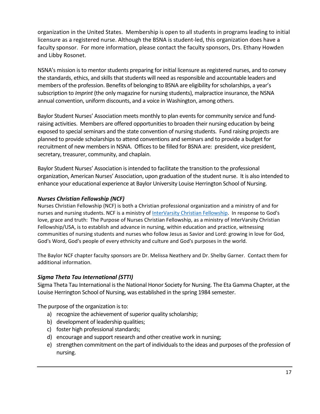organization in the United States. Membership is open to all students in programs leading to initial licensure as a registered nurse. Although the BSNA is student-led, this organization does have a faculty sponsor. For more information, please contact the faculty sponsors, Drs. Ethany Howden and Libby Rosonet.

NSNA's mission is to mentor students preparing for initial licensure as registered nurses, and to convey the standards, ethics, and skills that students will need as responsible and accountable leaders and members of the profession. Benefits of belonging to BSNA are eligibility for scholarships, a year's subscription to *Imprint* (the only magazine for nursing students), malpractice insurance, the NSNA annual convention, uniform discounts, and a voice in Washington, among others.

Baylor Student Nurses' Association meets monthly to plan events for community service and fundraising activities. Members are offered opportunities to broaden their nursing education by being exposed to special seminars and the state convention of nursing students. Fund raising projects are planned to provide scholarships to attend conventions and seminars and to provide a budget for recruitment of new members in NSNA. Offices to be filled for BSNA are: president, vice president, secretary, treasurer, community, and chaplain.

Baylor Student Nurses' Association is intended to facilitate the transition to the professional organization, American Nurses' Association, upon graduation of the student nurse. It is also intended to enhance your educational experience at Baylor University Louise Herrington School of Nursing.

#### *Nurses Christian Fellowship (NCF)*

Nurses Christian Fellowship (NCF) is both a Christian professional organization and a ministry of and for nurses and nursing students. NCF is a ministry of **[InterVarsity Christian Fellowship.](http://www.intervarsity.org/about/our/our-purpose)** In response to God's love, grace and truth: The Purpose of Nurses Christian Fellowship, as a ministry of InterVarsity Christian Fellowship/USA, is to establish and advance in nursing, within education and practice, witnessing communities of nursing students and nurses who follow Jesus as Savior and Lord: growing in love for God, God's Word, God's people of every ethnicity and culture and God's purposes in the world.

The Baylor NCF chapter faculty sponsors are Dr. Melissa Neathery and Dr. Shelby Garner. Contact them for additional information.

#### *Sigma Theta Tau International (STTI)*

Sigma Theta Tau International is the National Honor Society for Nursing. The Eta Gamma Chapter, at the Louise Herrington School of Nursing, was established in the spring 1984 semester.

The purpose of the organization is to:

- a) recognize the achievement of superior quality scholarship;
- b) development of leadership qualities;
- c) foster high professional standards;
- d) encourage and support research and other creative work in nursing;
- e) strengthen commitment on the part of individuals to the ideas and purposes of the profession of nursing.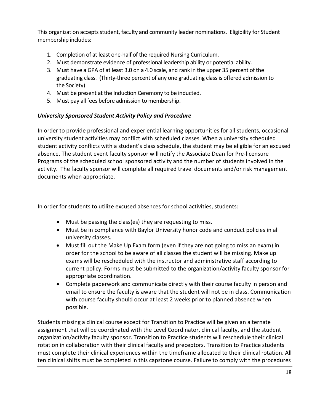This organization accepts student, faculty and community leader nominations. Eligibility for Student membership includes:

- 1. Completion of at least one-half of the required Nursing Curriculum.
- 2. Must demonstrate evidence of professional leadership ability or potential ability.
- 3. Must have a GPA of at least 3.0 on a 4.0 scale, and rank in the upper 35 percent of the graduating class. (Thirty-three percent of any one graduating class is offered admission to the Society)
- 4. Must be present at the Induction Ceremony to be inducted.
- 5. Must pay all fees before admission to membership.

#### *University Sponsored Student Activity Policy and Procedure*

In order to provide professional and experiential learning opportunities for all students, occasional university student activities may conflict with scheduled classes. When a university scheduled student activity conflicts with a student's class schedule, the student may be eligible for an excused absence. The student event faculty sponsor will notify the Associate Dean for Pre-licensure Programs of the scheduled school sponsored activity and the number of students involved in the activity. The faculty sponsor will complete all required travel documents and/or risk management documents when appropriate.

In order for students to utilize excused absences for school activities, students:

- Must be passing the class(es) they are requesting to miss.
- Must be in compliance with Baylor University honor code and conduct policies in all university classes.
- Must fill out the Make Up Exam form (even if they are not going to miss an exam) in order for the school to be aware of all classes the student will be missing. Make up exams will be rescheduled with the instructor and administrative staff according to current policy. Forms must be submitted to the organization/activity faculty sponsor for appropriate coordination.
- Complete paperwork and communicate directly with their course faculty in person and email to ensure the faculty is aware that the student will not be in class. Communication with course faculty should occur at least 2 weeks prior to planned absence when possible.

Students missing a clinical course except for Transition to Practice will be given an alternate assignment that will be coordinated with the Level Coordinator, clinical faculty, and the student organization/activity faculty sponsor. Transition to Practice students will reschedule their clinical rotation in collaboration with their clinical faculty and preceptors. Transition to Practice students must complete their clinical experiences within the timeframe allocated to their clinical rotation. All ten clinical shifts must be completed in this capstone course. Failure to comply with the procedures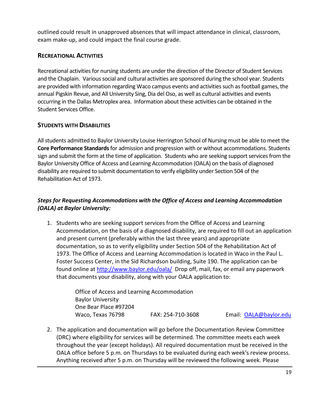outlined could result in unapproved absences that will impact attendance in clinical, classroom, exam make-up, and could impact the final course grade.

#### <span id="page-18-0"></span>**RECREATIONAL ACTIVITIES**

Recreational activities for nursing students are under the direction of the Director of Student Services and the Chaplain. Various social and cultural activities are sponsored during the school year. Students are provided with information regarding Waco campus events and activities such as football games, the annual Pigskin Revue, and All University Sing, Dia del Oso, as well as cultural activities and events occurring in the Dallas Metroplex area. Information about these activities can be obtained in the Student Services Office.

#### <span id="page-18-1"></span>**STUDENTS WITH DISABILITIES**

All students admitted to Baylor University Louise Herrington School of Nursing must be able to meet the **Core Performance Standards**for admission and progression with or without accommodations. Students sign and submit the form at the time of application. Students who are seeking support services from the Baylor University Office of Access and Learning Accommodation (OALA) on the basis of diagnosed disability are required to submit documentation to verify eligibility under Section 504 of the Rehabilitation Act of 1973.

#### *Steps for Requesting Accommodations with the Office of Access and Learning Accommodation (OALA) at Baylor University:*

1. Students who are seeking support services from the Office of Access and Learning Accommodation, on the basis of a diagnosed disability, are required to fill out an application and present current (preferably within the last three years) and appropriate documentation, so as to verify eligibility under Section 504 of the Rehabilitation Act of 1973. The Office of Access and Learning Accommodation is located in Waco in the Paul L. Foster Success Center, in the Sid Richardson building, Suite 190. The application can be found online at<http://www.baylor.edu/oala/>Drop off, mail, fax, or email any paperwork that documents your disability, along with your OALA application to:

> Office of Access and Learning Accommodation Baylor University One Bear Place #97204 Waco, Texas 76798 FAX: 254-710-3608 Email: OALA@baylor.edu

2. The application and documentation will go before the Documentation Review Committee (DRC) where eligibility for services will be determined. The committee meets each week throughout the year (except holidays). All required documentation must be received in the OALA office before 5 p.m. on Thursdays to be evaluated during each week's review process. Anything received after 5 p.m. on Thursday will be reviewed the following week. Please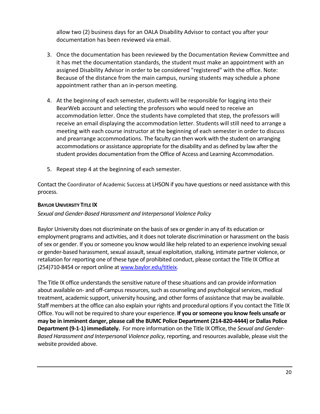allow two (2) business days for an OALA Disability Advisor to contact you after your documentation has been reviewed via email.

- 3. Once the documentation has been reviewed by the Documentation Review Committee and it has met the documentation standards, the student must make an appointment with an assigned Disability Advisor in order to be considered "registered" with the office. Note: Because of the distance from the main campus, nursing students may schedule a phone appointment rather than an in-person meeting.
- 4. At the beginning of each semester, students will be responsible for logging into their BearWeb account and selecting the professors who would need to receive an accommodation letter. Once the students have completed that step, the professors will receive an email displaying the accommodation letter. Students will still need to arrange a meeting with each course instructor at the beginning of each semester in order to discuss and prearrange accommodations. The faculty can then work with the student on arranging accommodations or assistance appropriate for the disability and as defined by law after the student provides documentation from the Office of Access and Learning Accommodation.
- 5. Repeat step 4 at the beginning of each semester.

Contact the Coordinator of Academic Success at LHSON if you have questions or need assistance with this process.

#### <span id="page-19-0"></span>**BAYLOR UNIVERSITY TITLE IX**

#### *Sexual and Gender-Based Harassment and Interpersonal Violence Policy*

Baylor University does not discriminate on the basis of sex or gender in any of its education or employment programs and activities, and it does not tolerate discrimination or harassment on the basis of sex or gender. If you or someone you know would like help related to an experience involving sexual or gender-based harassment, sexual assault, sexual exploitation, stalking, intimate partner violence, or retaliation for reporting one of these type of prohibited conduct, please contact the Title IX Office at (254)710-8454 or report online a[t www.baylor.edu/titleix.](http://www.baylor.edu/titleix)

The Title IX office understands the sensitive nature of these situations and can provide information about available on- and off-campus resources, such as counseling and psychological services, medical treatment, academic support, university housing, and other forms of assistance that may be available. Staff members at the office can also explain your rights and procedural options if you contact the Title IX Office. You will not be required to share your experience. **If you or someone you know feels unsafe or may be in imminent danger, please call the BUMC Police Department (214-820-4444) or Dallas Police Department (9-1-1) immediately.** For more information on the Title IX Office, the *Sexual and Gender-Based Harassment and Interpersonal Violence policy*, reporting, and resources available, please visit the website provided above.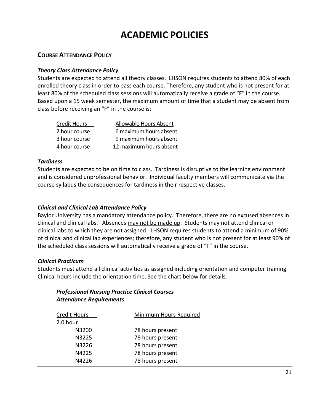# **ACADEMIC POLICIES**

#### <span id="page-20-1"></span><span id="page-20-0"></span>**COURSE ATTENDANCE POLICY**

#### *Theory Class Attendance Policy*

Students are expected to attend all theory classes. LHSON requires students to attend 80% of each enrolled theory class in order to pass each course. Therefore, any student who is not present for at least 80% of the scheduled class sessions will automatically receive a grade of "F" in the course. Based upon a 15 week semester, the maximum amount of time that a student may be absent from class before receiving an "F" in the course is:

| <b>Credit Hours</b> | Allowable Hours Absent  |
|---------------------|-------------------------|
| 2 hour course       | 6 maximum hours absent  |
| 3 hour course       | 9 maximum hours absent  |
| 4 hour course       | 12 maximum hours absent |

#### *Tardiness*

Students are expected to be on time to class. Tardiness is disruptive to the learning environment and is considered unprofessional behavior. Individual faculty members will communicate via the course syllabus the consequences for tardiness in their respective classes.

#### *Clinical and Clinical Lab Attendance Policy*

Baylor University has a mandatory attendance policy. Therefore, there are no excused absences in clinical and clinical labs. Absences may not be made up. Students may not attend clinical or clinical labs to which they are not assigned. LHSON requires students to attend a minimum of 90% of clinical and clinical lab experiences; therefore, any student who is not present for at least 90% of the scheduled class sessions will automatically receive a grade of "F" in the course.

#### *Clinical Practicum*

Students must attend all clinical activities as assigned including orientation and computer training. Clinical hours include the orientation time. See the chart below for details.

#### *Professional Nursing Practice Clinical Courses Attendance Requirements*

| <b>Credit Hours</b> | Minimum Hours Required |
|---------------------|------------------------|
| 2.0 hour            |                        |
| N3200               | 78 hours present       |
| N3225               | 78 hours present       |
| N3226               | 78 hours present       |
| N4225               | 78 hours present       |
| N4226               | 78 hours present       |
|                     |                        |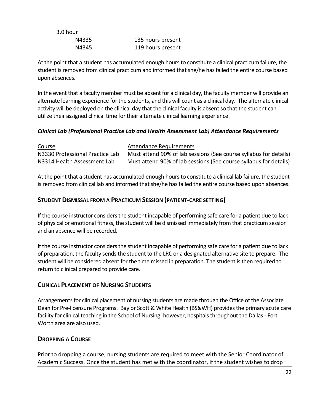| 3.0 hour |                   |
|----------|-------------------|
| N4335    | 135 hours present |
| N4345    | 119 hours present |

At the point that a student has accumulated enough hours to constitute a clinical practicum failure, the student is removed from clinical practicum and informed that she/he has failed the entire course based upon absences.

In the event that a faculty member must be absent for a clinical day, the faculty member will provide an alternate learning experience for the students, and this will count as a clinical day. The alternate clinical activity will be deployed on the clinical day that the clinical faculty is absent so that the student can utilize their assigned clinical time for their alternate clinical learning experience.

#### *Clinical Lab (Professional Practice Lab and Health Assessment Lab) Attendance Requirements*

| Course                          | Attendance Requirements                                           |
|---------------------------------|-------------------------------------------------------------------|
| N3330 Professional Practice Lab | Must attend 90% of lab sessions (See course syllabus for details) |
| N3314 Health Assessment Lab     | Must attend 90% of lab sessions (See course syllabus for details) |

At the point that a student has accumulated enough hours to constitute a clinical lab failure, the student is removed from clinical lab and informed that she/he has failed the entire course based upon absences.

#### <span id="page-21-0"></span>**STUDENT DISMISSAL FROM A PRACTICUM SESSION (PATIENT-CARE SETTING)**

If the course instructor considers the student incapable of performing safe care for a patient due to lack of physical or emotional fitness, the student will be dismissed immediately from that practicum session and an absence will be recorded.

If the course instructor considers the student incapable of performing safe care for a patient due to lack of preparation, the faculty sends the student to the LRC or a designated alternative site to prepare. The student will be considered absent for the time missed in preparation. The student is then required to return to clinical prepared to provide care.

#### <span id="page-21-1"></span>**CLINICAL PLACEMENT OF NURSING STUDENTS**

Arrangements for clinical placement of nursing students are made through the Office of the Associate Dean for Pre-licensure Programs. Baylor Scott & White Health (BS&WH) provides the primary acute care facility for clinical teaching in the School of Nursing: however, hospitals throughout the Dallas - Fort Worth area are also used.

#### <span id="page-21-2"></span>**DROPPING A COURSE**

Prior to dropping a course, nursing students are required to meet with the Senior Coordinator of Academic Success. Once the student has met with the coordinator, if the student wishes to drop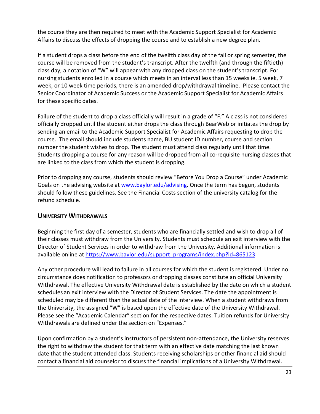the course they are then required to meet with the Academic Support Specialist for Academic Affairs to discuss the effects of dropping the course and to establish a new degree plan.

If a student drops a class before the end of the twelfth class day of the fall or spring semester, the course will be removed from the student's transcript. After the twelfth (and through the fiftieth) class day, a notation of "W" will appear with any dropped class on the student's transcript. For nursing students enrolled in a course which meets in an interval less than 15 weeks ie. 5 week, 7 week, or 10 week time periods, there is an amended drop/withdrawal timeline. Please contact the Senior Coordinator of Academic Success or the Academic Support Specialist for Academic Affairs for these specific dates.

Failure of the student to drop a class officially will result in a grade of "F." A class is not considered officially dropped until the student either drops the class through BearWeb or initiates the drop by sending an email to the Academic Support Specialist for Academic Affairs requesting to drop the course. The email should include students name, BU student ID number, course and section number the student wishes to drop. The student must attend class regularly until that time. Students dropping a course for any reason will be dropped from all co-requisite nursing classes that are linked to the class from which the student is dropping.

Prior to dropping any course, students should review "Before You Drop a Course" under Academic Goals on the advising website at [www.baylor.edu/advising.](http://www.baylor.edu/advising) Once the term has begun, students should follow these guidelines. See the Financial Costs section of the university catalog for the refund schedule.

#### <span id="page-22-0"></span>**UNIVERSITY WITHDRAWALS**

Beginning the first day of a semester, students who are financially settled and wish to drop all of their classes must withdraw from the University. Students must schedule an exit interview with the Director of Student Services in order to withdraw from the University. Additional information is available online at [https://www.baylor.edu/support\\_programs/index.php?id=865123.](https://www.baylor.edu/support_programs/index.php?id=865123)

Any other procedure will lead to failure in all courses for which the student is registered. Under no circumstance does notification to professors or dropping classes constitute an official University Withdrawal. The effective University Withdrawal date is established by the date on which a student schedules an exit interview with the Director of Student Services. The date the appointment is scheduled may be different than the actual date of the interview. When a student withdraws from the University, the assigned "W" is based upon the effective date of the University Withdrawal. Please see the "Academic Calendar" section for the respective dates. Tuition refunds for University Withdrawals are defined under the section on "Expenses."

Upon confirmation by a student's instructors of persistent non-attendance, the University reserves the right to withdraw the student for that term with an effective date matching the last known date that the student attended class. Students receiving scholarships or other financial aid should contact a financial aid counselor to discuss the financial implications of a University Withdrawal.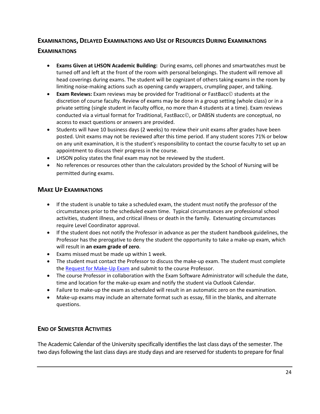#### <span id="page-23-0"></span>**EXAMINATIONS, DELAYED EXAMINATIONS AND USE OF RESOURCES DURING EXAMINATIONS**

#### **EXAMINATIONS**

- **Exams Given at LHSON Academic Building:** During exams, cell phones and smartwatches must be turned off and left at the front of the room with personal belongings. The student will remove all head coverings during exams. The student will be cognizant of others taking exams in the room by limiting noise-making actions such as opening candy wrappers, crumpling paper, and talking.
- **Exam Reviews:** Exam reviews may be provided for Traditional or FastBacc© students at the discretion of course faculty. Review of exams may be done in a group setting (whole class) or in a private setting (single student in faculty office, no more than 4 students at a time). Exam reviews conducted via a virtual format for Traditional, FastBacc©, or DABSN students are conceptual, no access to exact questions or answers are provided.
- Students will have 10 business days (2 weeks) to review their unit exams after grades have been posted. Unit exams may not be reviewed after this time period. If any student scores 71% or below on any unit examination, it is the student's responsibility to contact the course faculty to set up an appointment to discuss their progress in the course.
- LHSON policy states the final exam may not be reviewed by the student.
- No references or resources other than the calculators provided by the School of Nursing will be permitted during exams.

#### **MAKE UP EXAMINATIONS**

- If the student is unable to take a scheduled exam, the student must notify the professor of the circumstances prior to the scheduled exam time. Typical circumstances are professional school activities, student illness, and critical illness or death in the family. Extenuating circumstances require Level Coordinator approval.
- If the student does not notify the Professor in advance as per the student handbook guidelines, the Professor has the prerogative to deny the student the opportunity to take a make-up exam, which will result in **an exam grade of zero**.
- Exams missed must be made up within 1 week.
- The student must contact the Professor to discuss the make-up exam. The student must complete the [Request for Make-Up Exam](https://www.baylor.edu/nursing/doc.php/199462.docx) and submit to the course Professor.
- The course Professor in collaboration with the Exam Software Administrator will schedule the date, time and location for the make-up exam and notify the student via Outlook Calendar.
- Failure to make-up the exam as scheduled will result in an automatic zero on the examination.
- Make-up exams may include an alternate format such as essay, fill in the blanks, and alternate questions.

#### <span id="page-23-1"></span>**END OF SEMESTER ACTIVITIES**

The Academic Calendar of the University specifically identifies the last class days of the semester. The two days following the last class days are study days and are reserved for students to prepare for final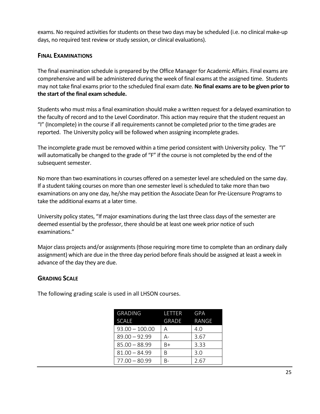exams. No required activities for students on these two days may be scheduled (i.e. no clinical make-up days, no required test review or study session, or clinical evaluations).

#### <span id="page-24-0"></span>**FINAL EXAMINATIONS**

The final examination schedule is prepared by the Office Manager for Academic Affairs. Final exams are comprehensive and will be administered during the week of final exams at the assigned time. Students may not take final exams prior to the scheduled final exam date. **No final exams are to be given prior to the start of the final exam schedule.** 

Students who must miss a final examination should make a written request for a delayed examination to the faculty of record and to the Level Coordinator. This action may require that the student request an "I" (Incomplete) in the course if all requirements cannot be completed prior to the time grades are reported. The University policy will be followed when assigning incomplete grades.

The incomplete grade must be removed within a time period consistent with University policy. The "I" will automatically be changed to the grade of "F" if the course is not completed by the end of the subsequent semester.

No more than two examinations in courses offered on a semester level are scheduled on the same day. If a student taking courses on more than one semester level is scheduled to take more than two examinations on any one day, he/she may petition the Associate Dean for Pre-Licensure Programsto take the additional exams at a later time.

University policy states, "If major examinations during the last three class days of the semester are deemed essential by the professor, there should be at least one week prior notice of such examinations."

Major class projects and/or assignments (those requiring more time to complete than an ordinary daily assignment) which are due in the three day period before finals should be assigned at least a week in advance of the day they are due.

#### <span id="page-24-1"></span>**GRADING SCALE**

The following grading scale is used in all LHSON courses.

| <b>GRADING</b>   | LETTER | GPA   |
|------------------|--------|-------|
| <b>SCALE</b>     | GRADE  | RANGE |
| $93.00 - 100.00$ | A      | 4.0   |
| $89.00 - 92.99$  | А-     | 3.67  |
| $85.00 - 88.99$  | B+     | 3.33  |
| $81.00 - 84.99$  | B      | 3.0   |
| $77.00 - 80.99$  | R-     | 2.67  |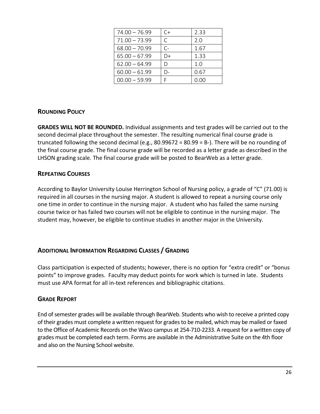| $74.00 - 76.99$ | C+   | 2.33 |
|-----------------|------|------|
| $71.00 - 73.99$ | C.   | 2.0  |
| $68.00 - 70.99$ | $C-$ | 1.67 |
| $65.00 - 67.99$ | D+   | 1.33 |
| $62.00 - 64.99$ | D    | 1.0  |
| $60.00 - 61.99$ | D-   | 0.67 |
| $00.00 - 59.99$ |      | 0.00 |

#### <span id="page-25-0"></span>**ROUNDING POLICY**

**GRADES WILL NOT BE ROUNDED.** Individual assignments and test grades will be carried out to the second decimal place throughout the semester. The resulting numerical final course grade is truncated following the second decimal (e.g.,  $80.99672 = 80.99 = B$ ). There will be no rounding of the final course grade. The final course grade will be recorded as a letter grade as described in the LHSON grading scale. The final course grade will be posted to BearWeb as a letter grade.

#### <span id="page-25-1"></span>**REPEATING COURSES**

According to Baylor University Louise Herrington School of Nursing policy, a grade of "C" (71.00) is required in all courses in the nursing major. A student is allowed to repeat a nursing course only one time in order to continue in the nursing major. A student who has failed the same nursing course twice or has failed two courses will not be eligible to continue in the nursing major. The student may, however, be eligible to continue studies in another major in the University.

#### <span id="page-25-2"></span>**ADDITIONAL INFORMATION REGARDING CLASSES / GRADING**

Class participation is expected of students; however, there is no option for "extra credit" or "bonus points" to improve grades. Faculty may deduct points for work which is turned in late. Students must use APA format for all in-text references and bibliographic citations.

#### <span id="page-25-3"></span>**GRADE REPORT**

End of semester grades will be available through BearWeb. Students who wish to receive a printed copy of their grades must complete a written request for grades to be mailed, which may be mailed or faxed to the Office of Academic Records on the Waco campus at 254-710-2233. A request for a written copy of grades must be completed each term. Forms are available in the Administrative Suite on the 4th floor and also on the Nursing School website.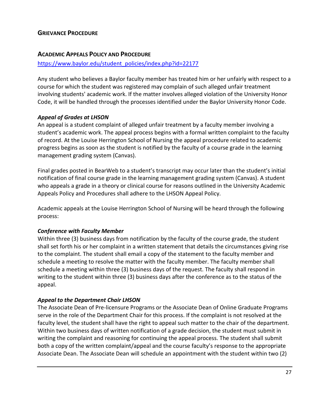#### <span id="page-26-0"></span>**GRIEVANCE PROCEDURE**

#### <span id="page-26-1"></span>**ACADEMIC APPEALS POLICY AND PROCEDURE**

#### [https://www.baylor.edu/student\\_policies/index.php?id=22177](https://www.baylor.edu/student_policies/index.php?id=22177)

Any student who believes a Baylor faculty member has treated him or her unfairly with respect to a course for which the student was registered may complain of such alleged unfair treatment involving students' academic work. If the matter involves alleged violation of the University Honor Code, it will be handled through the processes identified under the Baylor University Honor Code.

#### *Appeal of Grades at LHSON*

An appeal is a student complaint of alleged unfair treatment by a faculty member involving a student's academic work. The appeal process begins with a formal written complaint to the faculty of record. At the Louise Herrington School of Nursing the appeal procedure related to academic progress begins as soon as the student is notified by the faculty of a course grade in the learning management grading system (Canvas).

Final grades posted in BearWeb to a student's transcript may occur later than the student's initial notification of final course grade in the learning management grading system (Canvas). A student who appeals a grade in a theory or clinical course for reasons outlined in the University Academic Appeals Policy and Procedures shall adhere to the LHSON Appeal Policy.

Academic appeals at the Louise Herrington School of Nursing will be heard through the following process:

#### *Conference with Faculty Member*

Within three (3) business days from notification by the faculty of the course grade, the student shall set forth his or her complaint in a written statement that details the circumstances giving rise to the complaint. The student shall email a copy of the statement to the faculty member and schedule a meeting to resolve the matter with the faculty member. The faculty member shall schedule a meeting within three (3) business days of the request. The faculty shall respond in writing to the student within three (3) business days after the conference as to the status of the appeal.

#### *Appeal to the Department Chair LHSON*

The Associate Dean of Pre-licensure Programs or the Associate Dean of Online Graduate Programs serve in the role of the Department Chair for this process. If the complaint is not resolved at the faculty level, the student shall have the right to appeal such matter to the chair of the department. Within two business days of written notification of a grade decision, the student must submit in writing the complaint and reasoning for continuing the appeal process. The student shall submit both a copy of the written complaint/appeal and the course faculty's response to the appropriate Associate Dean. The Associate Dean will schedule an appointment with the student within two (2)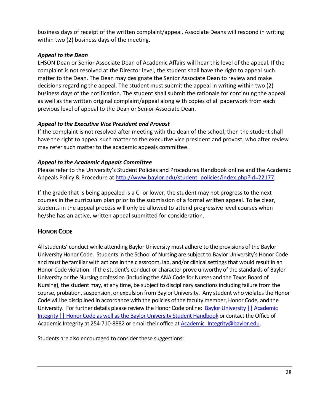business days of receipt of the written complaint/appeal. Associate Deans will respond in writing within two (2) business days of the meeting.

#### *Appeal to the Dean*

LHSON Dean or Senior Associate Dean of Academic Affairs will hear this level of the appeal. If the complaint is not resolved at the Director level, the student shall have the right to appeal such matter to the Dean. The Dean may designate the Senior Associate Dean to review and make decisions regarding the appeal. The student must submit the appeal in writing within two (2) business days of the notification. The student shall submit the rationale for continuing the appeal as well as the written original complaint/appeal along with copies of all paperwork from each previous level of appeal to the Dean or Senior Associate Dean.

#### *Appeal to the Executive Vice President and Provost*

If the complaint is not resolved after meeting with the dean of the school, then the student shall have the right to appeal such matter to the executive vice president and provost, who after review may refer such matter to the academic appeals committee.

#### *Appeal to the Academic Appeals Committee*

Please refer to the University's Student Policies and Procedures Handbook online and the Academic Appeals Policy & Procedure at [http://www.baylor.edu/student\\_policies/index.php?id=22177.](http://www.baylor.edu/student_policies/index.php?id=22177)

If the grade that is being appealed is a C- or lower, the student may not progress to the next courses in the curriculum plan prior to the submission of a formal written appeal. To be clear, students in the appeal process will only be allowed to attend progressive level courses when he/she has an active, written appeal submitted for consideration.

#### <span id="page-27-0"></span>**HONOR CODE**

All students' conduct while attending Baylor University must adhere to the provisions of the Baylor University Honor Code. Students in the School of Nursing are subject to Baylor University's Honor Code and must be familiar with actions in the classroom, lab, and/or clinical settings that would result in an Honor Code violation. If the student's conduct or character prove unworthy of the standards of Baylor University or the Nursing profession (including the ANA Code for Nurses and the Texas Board of Nursing), the student may, at any time, be subject to disciplinary sanctions including failure from the course, probation, suspension, or expulsion from Baylor University. Any student who violates the Honor Code will be disciplined in accordance with the policies of the faculty member, Honor Code, and the University. For further details please review the Honor Code online: **Baylor University || Academic** [Integrity || Honor Code as well as the Baylor University Student Handbook](https://www.baylor.edu/honorcode/) or contact the Office of Academic Integrity at 254-710-8882 or email their office at **Academic Integrity@baylor.edu.** 

Students are also encouraged to consider these suggestions: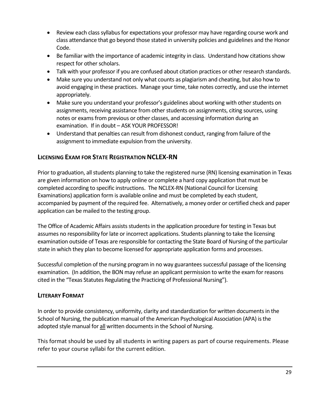- Review each class syllabus for expectations your professor may have regarding course work and class attendance that go beyond those stated in university policies and guidelines and the Honor Code.
- Be familiar with the importance of academic integrity in class. Understand how citations show respect for other scholars.
- Talk with your professor if you are confused about citation practices or other research standards.
- Make sure you understand not only what counts as plagiarism and cheating, but also how to avoid engaging in these practices. Manage your time, take notes correctly, and use the internet appropriately.
- Make sure you understand your professor's guidelines about working with other students on assignments, receiving assistance from other students on assignments, citing sources, using notes or exams from previous or other classes, and accessing information during an examination. If in doubt – ASK YOUR PROFESSOR!
- Understand that penalties can result from dishonest conduct, ranging from failure of the assignment to immediate expulsion from the university.

#### <span id="page-28-0"></span>**LICENSING EXAM FOR STATE REGISTRATION NCLEX-RN**

Prior to graduation, all students planning to take the registered nurse (RN) licensing examination in Texas are given information on how to apply online or complete a hard copy application that must be completed according to specific instructions. The NCLEX-RN (National Council for Licensing Examinations) application form is available online and must be completed by each student, accompanied by payment of the required fee. Alternatively, a money order or certified check and paper application can be mailed to the testing group.

The Office of Academic Affairs assists students in the application procedure for testing in Texas but assumes no responsibility for late or incorrect applications. Students planning to take the licensing examination outside of Texas are responsible for contacting the State Board of Nursing of the particular state in which they plan to become licensed for appropriate application forms and processes.

Successful completion of the nursing program in no way guarantees successful passage of the licensing examination. (In addition, the BON may refuse an applicant permission to write the exam for reasons cited in the "Texas Statutes Regulating the Practicing of Professional Nursing").

#### <span id="page-28-1"></span>**LITERARY FORMAT**

In order to provide consistency, uniformity, clarity and standardization for written documents in the School of Nursing, the publication manual of the American Psychological Association (APA) is the adopted style manual for all written documents in the School of Nursing.

This format should be used by all students in writing papers as part of course requirements. Please refer to your course syllabi for the current edition.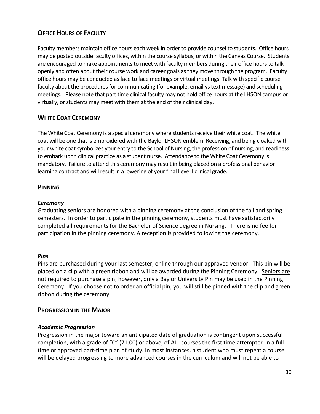#### <span id="page-29-0"></span>**OFFICE HOURS OF FACULTY**

Faculty members maintain office hours each week in order to provide counsel to students. Office hours may be posted outside faculty offices, within the course syllabus, or within the Canvas Course. Students are encouraged to make appointments to meet with faculty members during their office hours to talk openly and often about their course work and career goals as they move through the program. Faculty office hours may be conducted as face to face meetings or virtual meetings. Talk with specific course faculty about the procedures for communicating (for example, email vs text message) and scheduling meetings. Please note that part time clinical faculty may not hold office hours at the LHSON campus or virtually, or students may meet with them at the end of their clinical day.

#### <span id="page-29-1"></span>**WHITE COAT CEREMONY**

The White Coat Ceremony is a special ceremony where students receive their white coat. The white coat will be one that is embroidered with the Baylor LHSON emblem. Receiving, and being cloaked with your white coat symbolizes your entry to the School of Nursing, the profession of nursing, and readiness to embark upon clinical practice as a student nurse. Attendance to the White Coat Ceremony is mandatory. Failure to attend this ceremony may result in being placed on a professional behavior learning contract and will result in a lowering of your final Level I clinical grade.

#### <span id="page-29-2"></span>**PINNING**

#### *Ceremony*

Graduating seniors are honored with a pinning ceremony at the conclusion of the fall and spring semesters. In order to participate in the pinning ceremony, students must have satisfactorily completed all requirements for the Bachelor of Science degree in Nursing. There is no fee for participation in the pinning ceremony. A reception is provided following the ceremony.

#### *Pins*

Pins are purchased during your last semester, online through our approved vendor. This pin will be placed on a clip with a green ribbon and will be awarded during the Pinning Ceremony. Seniors are not required to purchase a pin; however, only a Baylor University Pin may be used in the Pinning Ceremony. If you choose not to order an official pin, you will still be pinned with the clip and green ribbon during the ceremony.

#### <span id="page-29-3"></span>**PROGRESSION IN THE MAJOR**

#### *Academic Progression*

Progression in the major toward an anticipated date of graduation is contingent upon successful completion, with a grade of "C" (71.00) or above, of ALL courses the first time attempted in a fulltime or approved part-time plan of study. In most instances, a student who must repeat a course will be delayed progressing to more advanced courses in the curriculum and will not be able to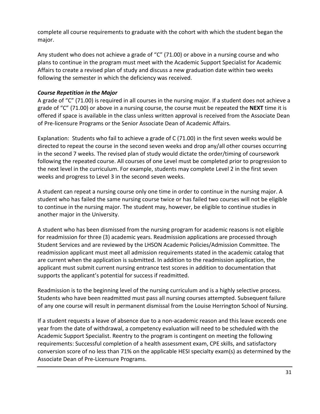complete all course requirements to graduate with the cohort with which the student began the major.

Any student who does not achieve a grade of "C" (71.00) or above in a nursing course and who plans to continue in the program must meet with the Academic Support Specialist for Academic Affairs to create a revised plan of study and discuss a new graduation date within two weeks following the semester in which the deficiency was received.

#### *Course Repetition in the Major*

A grade of "C" (71.00) is required in all courses in the nursing major. If a student does not achieve a grade of "C" (71.00) or above in a nursing course, the course must be repeated the **NEXT** time it is offered if space is available in the class unless written approval is received from the Associate Dean of Pre-licensure Programs or the Senior Associate Dean of Academic Affairs.

Explanation: Students who fail to achieve a grade of C (71.00) in the first seven weeks would be directed to repeat the course in the second seven weeks and drop any/all other courses occurring in the second 7 weeks. The revised plan of study would dictate the order/timing of coursework following the repeated course. All courses of one Level must be completed prior to progression to the next level in the curriculum. For example, students may complete Level 2 in the first seven weeks and progress to Level 3 in the second seven weeks.

A student can repeat a nursing course only one time in order to continue in the nursing major. A student who has failed the same nursing course twice or has failed two courses will not be eligible to continue in the nursing major. The student may, however, be eligible to continue studies in another major in the University.

A student who has been dismissed from the nursing program for academic reasons is not eligible for readmission for three (3) academic years. Readmission applications are processed through Student Services and are reviewed by the LHSON Academic Policies/Admission Committee. The readmission applicant must meet all admission requirements stated in the academic catalog that are current when the application is submitted. In addition to the readmission application, the applicant must submit current nursing entrance test scores in addition to documentation that supports the applicant's potential for success if readmitted.

Readmission is to the beginning level of the nursing curriculum and is a highly selective process. Students who have been readmitted must pass all nursing courses attempted. Subsequent failure of any one course will result in permanent dismissal from the Louise Herrington School of Nursing.

If a student requests a leave of absence due to a non-academic reason and this leave exceeds one year from the date of withdrawal, a competency evaluation will need to be scheduled with the Academic Support Specialist. Reentry to the program is contingent on meeting the following requirements: Successful completion of a health assessment exam, CPE skills, and satisfactory conversion score of no less than 71% on the applicable HESI specialty exam(s) as determined by the Associate Dean of Pre-Licensure Programs.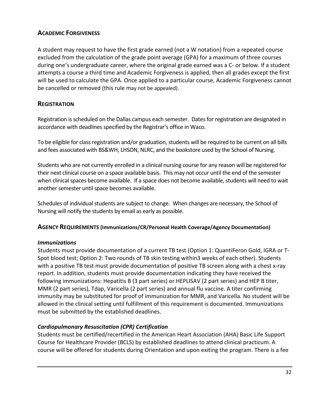#### <span id="page-31-0"></span>**ACADEMIC FORGIVENESS**

A student may request to have the first grade earned (not a W notation) from a repeated course excluded from the calculation of the grade point average (GPA) for a maximum of three courses during one's undergraduate career, where the original grade earned was a C- or below. If a student attempts a course a third time and Academic Forgiveness is applied, then all grades except the first will be used to calculate the GPA. Once applied to a particular course, Academic Forgiveness cannot be cancelled or removed (this rule may not be appealed).

#### <span id="page-31-1"></span>**REGISTRATION**

Registration is scheduled on the Dallas campus each semester. Dates for registration are designated in accordance with deadlines specified by the Registrar's office in Waco.

To be eligible for class registration and/or graduation, students will be required to be current on all bills and fees associated with BS&WH, LHSON, NLRC, and the bookstore used by the School of Nursing.

Students who are not currently enrolled in a clinical nursing course for any reason will be registered for their next clinical course on a space available basis. This may not occur until the end of the semester when clinical spaces become available. If a space does not become available, students will need to wait another semester until space becomes available.

Schedules of individual students are subject to change. When changes are necessary, the School of Nursing will notify the students by email as early as possible.

#### <span id="page-31-2"></span>**AGENCY REQUIREMENTS (Immunizations/CR/Personal Health Coverage/Agency Documentation)**

#### *Immunizations*

Students must provide documentation of a current TB test (Option 1: QuantiFeron Gold, IGRA or T-Spot blood test; Option 2: Two rounds of TB skin testing within3 weeks of each other). Students with a positive TB test must provide documentation of positive TB screen along with a chest x-ray report. In addition, students must provide documentation indicating they have received the following immunizations: Hepatitis B (3 part series) or HEPLISAV (2 part series) and HEP B titer, MMR (2 part series), Tdap, Varicella (2 part series) and annual flu vaccine. A titer confirming immunity may be substituted for proof of immunization for MMR, and Varicella. No student will be allowed in the clinical setting until fulfillment of this requirement is documented. Immunizations must be submitted by the established deadlines.

#### *Cardiopulmonary Resuscitation (CPR) Certification*

Students must be certified/recertified in the American Heart Association (AHA) Basic Life Support Course for Healthcare Provider (BCLS) by established deadlines to attend clinical practicum. A course will be offered for students during Orientation and upon exiting the program. There is a fee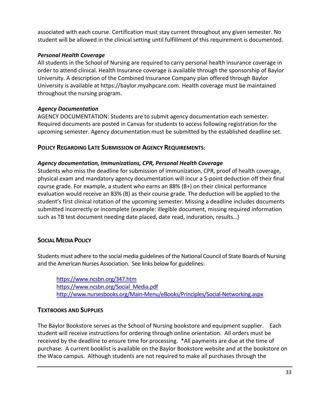associated with each course. Certification must stay current throughout any given semester. No student will be allowed in the clinical setting until fulfillment of this requirement is documented.

#### *Personal Health Coverage*

All students in the School of Nursing are required to carry personal health insurance coverage in order to attend clinical. Health Insurance coverage is available through the sponsorship of Baylor University. A description of the Combined Insurance Company plan offered through Baylor University is available at https://baylor.myahpcare.com. Health coverage must be maintained throughout the nursing program.

#### *Agency Documentation*

AGENCY DOCUMENTATION: Students are to submit agency documentation each semester. Required documents are posted in Canvas for students to access following registration for the upcoming semester. Agency documentation must be submitted by the established deadline set.

#### <span id="page-32-0"></span>**POLICY REGARDING LATE SUBMISSION OF AGENCY REQUIREMENTS:**

#### *Agency documentation, Immunizations, CPR, Personal Health Coverage*

Students who miss the deadline for submission of immunization, CPR, proof of health coverage, physical exam and mandatory agency documentation will incur a 5-point deduction off their final course grade. For example, a student who earns an 88% (B+) on their clinical performance evaluation would receive an 83% (B) as their course grade. The deduction will be applied to the student's first clinical rotation of the upcoming semester. Missing a deadline includes documents submitted incorrectly or incomplete (example: illegible document, missing required information such as TB test document needing date placed, date read, induration, results…)

#### <span id="page-32-1"></span>**SOCIAL MEDIA POLICY**

Students must adhere to the social media guidelines of the National Council of State Boards of Nursing and the American Nurses Association. See links below for guidelines:

<https://www.ncsbn.org/347.htm> [https://www.ncsbn.org/Social\\_Media.pdf](https://www.ncsbn.org/Social_Media.pdf) <http://www.nursesbooks.org/Main-Menu/eBooks/Principles/Social-Networking.aspx>

#### <span id="page-32-2"></span>**TEXTBOOKS AND SUPPLIES**

The Baylor Bookstore serves as the School of Nursing bookstore and equipment supplier. Each student will receive instructions for ordering through online orientation. All orders must be received by the deadline to ensure time for processing. \*All payments are due at the time of purchase. A current booklist is available on the Baylor Bookstore website and at the bookstore on the Waco campus. Although students are not required to make all purchases through the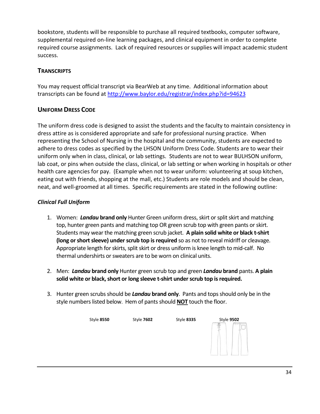bookstore, students will be responsible to purchase all required textbooks, computer software, supplemental required on-line learning packages, and clinical equipment in order to complete required course assignments. Lack of required resources or supplies will impact academic student success.

#### <span id="page-33-0"></span>**TRANSCRIPTS**

You may request official transcript via BearWeb at any time. Additional information about transcripts can be found at<http://www.baylor.edu/registrar/index.php?id=94623>

#### <span id="page-33-1"></span>**UNIFORM DRESS CODE**

The uniform dress code is designed to assist the students and the faculty to maintain consistency in dress attire as is considered appropriate and safe for professional nursing practice. When representing the School of Nursing in the hospital and the community, students are expected to adhere to dress codes as specified by the LHSON Uniform Dress Code. Students are to wear their uniform only when in class, clinical, or lab settings. Students are not to wear BULHSON uniform, lab coat, or pins when outside the class, clinical, or lab setting or when working in hospitals or other health care agencies for pay. (Example when not to wear uniform: volunteering at soup kitchen, eating out with friends, shopping at the mall, etc.) Students are role models and should be clean, neat, and well-groomed at all times. Specific requirements are stated in the following outline:

#### *Clinical Full Uniform*

- 1. Women: *Landau* **brand only** Hunter Green uniform dress, skirt or split skirt and matching top, hunter green pants and matching top OR green scrub top with green pants or skirt. Students may wear the matching green scrub jacket. **A plain solid white or black t-shirt (long or short sleeve) under scrub top is required** so as not to reveal midriff or cleavage. Appropriate length for skirts, split skirt or dress uniform is knee length to mid-calf. No thermal undershirts or sweaters are to be worn on clinical units.
- 2. Men: *Landau* **brand only** Hunter green scrub top and green *Landau* **brand** pants. **A plain solid white or black, short or long sleeve t-shirt under scrub top is required.**
- 3. Hunter green scrubs should be *Landau* **brand only**. Pants and tops should only be in the style numbers listed below. Hem of pants should **NOT** touch the floor.

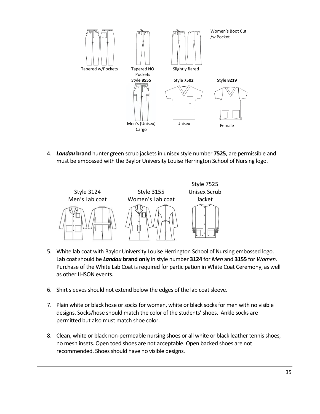

4. *Landau* **brand** hunter green scrub jackets in unisex style number **7525**, are permissible and must be embossed with the Baylor University Louise Herrington School of Nursing logo.



- 5. White lab coat with Baylor University Louise Herrington School of Nursing embossed logo. Lab coat should be *Landau* **brand only** in style number **3124** for *Men* and **3155** for *Women*. Purchase of the White Lab Coat is required for participation in White Coat Ceremony, as well as other LHSON events.
- 6. Shirt sleeves should not extend below the edges of the lab coat sleeve.
- 7. Plain white or black hose or socks for women, white or black socks for men with no visible designs. Socks/hose should match the color of the students' shoes. Ankle socks are permitted but also must match shoe color.
- 8. Clean, white or black non-permeable nursing shoes or all white or black leather tennis shoes, no mesh insets. Open toed shoes are not acceptable. Open backed shoes are not recommended. Shoes should have no visible designs.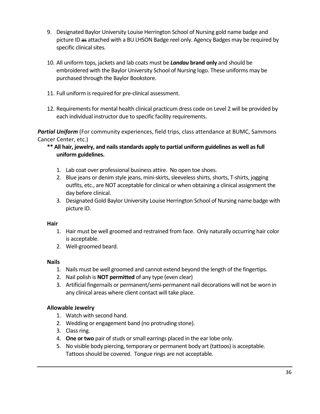- 9. Designated Baylor University Louise Herrington School of Nursing gold name badge and picture ID as attached with a BU LHSON Badge reel only. Agency Badges may be required by specific clinical sites.
- 10. All uniform tops, jackets and lab coats must be *Landau* **brand only** and should be embroidered with the Baylor University School of Nursing logo. These uniforms may be purchased through the Baylor Bookstore.
- 11. Full uniform is required for pre-clinical assessment.
- 12. Requirements for mental health clinical practicum dress code on Level 2 will be provided by each individual instructor due to specific facility requirements.

*Partial Uniform* (For community experiences, field trips, class attendance at BUMC, Sammons Cancer Center, etc.)

- **\*\* All hair, jewelry, and nails standards apply to partial uniform guidelines as well as full uniform guidelines.**
	- 1. Lab coat over professional business attire. No open toe shoes.
	- 2. Blue jeans or denim style jeans, mini-skirts, sleeveless shirts, shorts, T-shirts, jogging outfits, etc., are NOT acceptable for clinical or when obtaining a clinical assignment the day before clinical.
	- 3. Designated Gold Baylor University Louise Herrington School of Nursing name badge with picture ID.

#### **Hair**

- 1. Hair must be well groomed and restrained from face. Only naturally occurring hair color is acceptable.
- 2. Well-groomed beard.

#### **Nails**

- 1. Nails must be well groomed and cannot extend beyond the length of the fingertips.
- 2. Nail polish is **NOT permitted** of any type (even clear)
- 3. Artificial fingernails or permanent/semi-permanent nail decorations will not be worn in any clinical areas where client contact will take place.

#### **Allowable Jewelry**

- 1. Watch with second hand.
- 2. Wedding or engagement band (no protruding stone).
- 3. Class ring.
- 4. **One or two** pair of studs or small earrings placed in the ear lobe only.
- 5. No visible body piercing, temporary or permanent body art (tattoos) is acceptable. Tattoos should be covered. Tongue rings are not acceptable.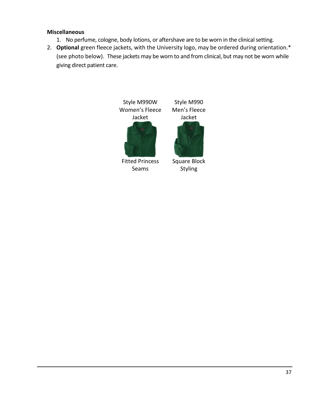#### **Miscellaneous**

- 1. No perfume, cologne, body lotions, or aftershave are to be worn in the clinical setting.
- 2. **Optional** green fleece jackets, with the University logo, may be ordered during orientation.\* (see photo below). These jackets may be worn to and from clinical, but may not be worn while giving direct patient care.

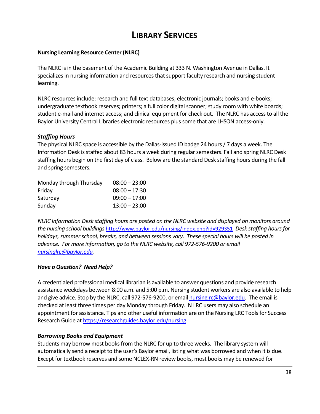## **LIBRARY SERVICES**

#### <span id="page-37-0"></span>**Nursing Learning Resource Center (NLRC)**

The NLRC is in the basement of the Academic Building at 333 N. Washington Avenue in Dallas. It specializes in nursing information and resources that support faculty research and nursing student learning.

NLRC resources include: research and full text databases; electronic journals; books and e-books; undergraduate textbook reserves; printers; a full color digital scanner; study room with white boards; student e-mail and internet access; and clinical equipment for check out. The NLRC has access to all the Baylor University Central Libraries electronic resources plus some that are LHSON access-only.

#### *Staffing Hours*

The physical NLRC space is accessible by the Dallas-issued ID badge 24 hours / 7 days a week. The Information Desk is staffed about 83 hours a week during regular semesters. Fall and spring NLRC Desk staffing hours begin on the first day of class. Below are the standard Desk staffing hours during the fall and spring semesters.

| Monday through Thursday | $08:00 - 23:00$ |
|-------------------------|-----------------|
| Friday                  | $08:00 - 17:30$ |
| Saturday                | $09:00 - 17:00$ |
| Sunday                  | $13:00 - 23:00$ |

*NLRC Information Desk staffing hours are posted on the NLRC website and displayed on monitors around the nursing school buildings* <http://www.baylor.edu/nursing/index.php?id=929351> *Desk staffing hours for holidays, summer school, breaks, and between sessions vary. These special hours will be posted in advance. For more information, go to the NLRC website, call 972-576-9200 or email [nursinglrc@baylor.edu.](mailto:nursinglrc@baylor.edu)*

#### *Have a Question? Need Help?*

A credentialed professional medical librarian is available to answer questions and provide research assistance weekdays between 8:00 a.m. and 5:00 p.m. Nursing student workers are also available to help and give advice. Stop by the NLRC, call 972-576-9200, or emai[l nursinglrc@baylor.edu.](mailto:nursinglrc@baylor.edu) The email is checked at least three times per day Monday through Friday. N LRC users may also schedule an appointment for assistance. Tips and other useful information are on the Nursing LRC Tools for Success Research Guide at<https://researchguides.baylor.edu/nursing>

#### *Borrowing Books and Equipment*

Students may borrow most books from the NLRC for up to three weeks. The library system will automatically send a receipt to the user's Baylor email, listing what was borrowed and when it is due. Except for textbook reserves and some NCLEX-RN review books, most books may be renewed for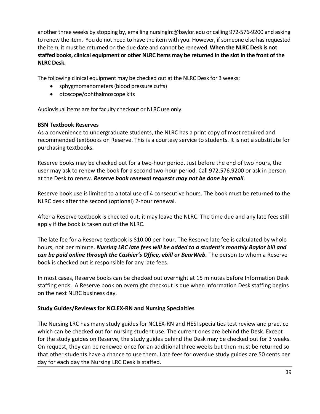another three weeks by stopping by, emailing nursinglrc@baylor.edu or calling 972-576-9200 and asking to renew the item. You do not need to have the item with you. However, if someone else has requested the item, it must be returned on the due date and cannot be renewed. **When the NLRC Desk is not staffed books, clinical equipment or other NLRC items may be returned in the slot in the front of the NLRC Desk.** 

The following clinical equipment may be checked out at the NLRC Desk for 3 weeks:

- sphygmomanometers (blood pressure cuffs)
- otoscope/ophthalmoscope kits

Audiovisual items are for faculty checkout or NLRC use only.

#### **BSN Textbook Reserves**

As a convenience to undergraduate students, the NLRC has a print copy of most required and recommended textbooks on Reserve. This is a courtesy service to students. It is not a substitute for purchasing textbooks.

Reserve books may be checked out for a two-hour period. Just before the end of two hours, the user may ask to renew the book for a second two-hour period. Call 972.576.9200 or ask in person at the Desk to renew. *Reserve book renewal requests may not be done by email*.

Reserve book use is limited to a total use of 4 consecutive hours. The book must be returned to the NLRC desk after the second (optional) 2-hour renewal.

After a Reserve textbook is checked out, it may leave the NLRC. The time due and any late fees still apply if the book is taken out of the NLRC.

The late fee for a Reserve textbook is \$10.00 per hour. The Reserve late fee is calculated by whole hours, not per minute. *Nursing LRC late fees will be added to a student's monthly Baylor bill and can be paid online through the Cashier's Office, ebill or BearWeb.* **The person to whom a Reserve** book is checked out is responsible for any late fees.

In most cases, Reserve books can be checked out overnight at 15 minutes before Information Desk staffing ends. A Reserve book on overnight checkout is due when Information Desk staffing begins on the next NLRC business day.

#### **Study Guides/Reviews for NCLEX-RN and Nursing Specialties**

The Nursing LRC has many study guides for NCLEX-RN and HESI specialties test review and practice which can be checked out for nursing student use. The current ones are behind the Desk. Except for the study guides on Reserve, the study guides behind the Desk may be checked out for 3 weeks. On request, they can be renewed once for an additional three weeks but then must be returned so that other students have a chance to use them. Late fees for overdue study guides are 50 cents per day for each day the Nursing LRC Desk is staffed.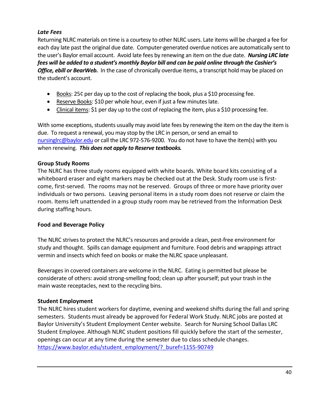#### *Late Fees*

Returning NLRC materials on time is a courtesy to other NLRC users. Late items will be charged a fee for each day late past the original due date. Computer-generated overdue notices are automatically sent to the user's Baylor email account. Avoid late fees by renewing an item on the due date. *Nursing LRC late fees will be added to a student's monthly Baylor bill and can be paid online through the Cashier's*  **Office, ebill or BearWeb.** In the case of chronically overdue items, a transcript hold may be placed on the student's account.

- Books: 25¢ per day up to the cost of replacing the book, plus a \$10 processing fee.
- Reserve Books: \$10 per whole hour, even if just a few minutes late.
- Clinical items: \$1 per day up to the cost of replacing the item, plus a \$10 processing fee.

With some exceptions, students usually may avoid late fees by renewing the item on the day the item is due. To request a renewal, you may stop by the LRC in person, or send an email to [nursinglrc@baylor.edu](mailto:nursinglrc@baylor.edu) or call the LRC 972-576-9200. You do not have to have the item(s) with you when renewing. *This does not apply to Reserve textbooks.*

#### **Group Study Rooms**

The NLRC has three study rooms equipped with white boards. White board kits consisting of a whiteboard eraser and eight markers may be checked out at the Desk. Study room use is firstcome, first-served. The rooms may not be reserved. Groups of three or more have priority over individuals or two persons. Leaving personal items in a study room does not reserve or claim the room. Items left unattended in a group study room may be retrieved from the Information Desk during staffing hours.

#### **Food and Beverage Policy**

The NLRC strives to protect the NLRC's resources and provide a clean, pest-free environment for study and thought. Spills can damage equipment and furniture. Food debris and wrappings attract vermin and insects which feed on books or make the NLRC space unpleasant.

Beverages in covered containers are welcome in the NLRC. Eating is permitted but please be considerate of others: avoid strong-smelling food; clean up after yourself; put your trash in the main waste receptacles, next to the recycling bins.

#### **Student Employment**

The NLRC hires student workers for daytime, evening and weekend shifts during the fall and spring semesters. Students must already be approved for Federal Work Study. NLRC jobs are posted at Baylor University's Student Employment Center website. Search for Nursing School Dallas LRC Student Employee. Although NLRC student positions fill quickly before the start of the semester, openings can occur at any time during the semester due to class schedule changes. [https://www.baylor.edu/student\\_employment/?\\_buref=1155-90749](https://www.baylor.edu/student_employment/?_buref=1155-90749)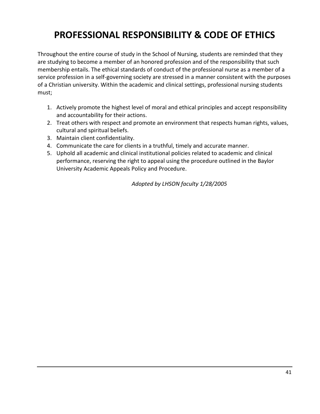# <span id="page-40-0"></span>**PROFESSIONAL RESPONSIBILITY & CODE OF ETHICS**

Throughout the entire course of study in the School of Nursing, students are reminded that they are studying to become a member of an honored profession and of the responsibility that such membership entails. The ethical standards of conduct of the professional nurse as a member of a service profession in a self-governing society are stressed in a manner consistent with the purposes of a Christian university. Within the academic and clinical settings, professional nursing students must;

- 1. Actively promote the highest level of moral and ethical principles and accept responsibility and accountability for their actions.
- 2. Treat others with respect and promote an environment that respects human rights, values, cultural and spiritual beliefs.
- 3. Maintain client confidentiality.
- 4. Communicate the care for clients in a truthful, timely and accurate manner.
- 5. Uphold all academic and clinical institutional policies related to academic and clinical performance, reserving the right to appeal using the procedure outlined in the Baylor University Academic Appeals Policy and Procedure.

*Adopted by LHSON faculty 1/28/2005*